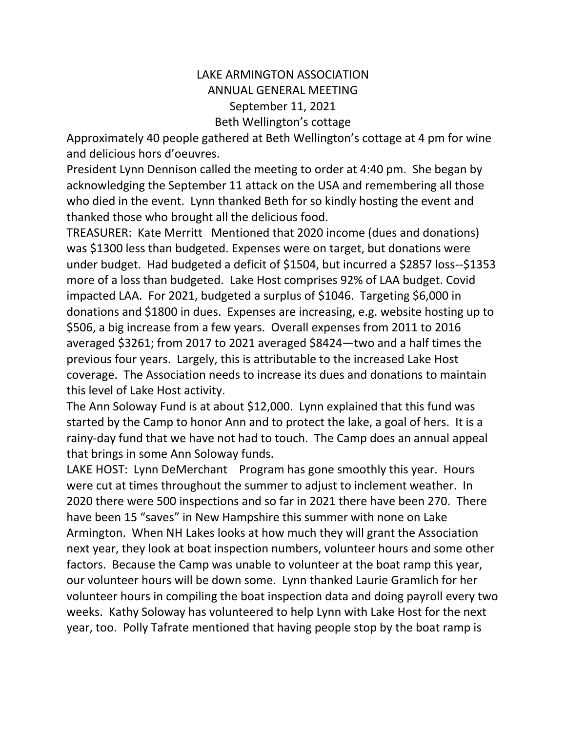## LAKE ARMINGTON ASSOCIATION ANNUAL GENERAL MEETING September 11, 2021 Beth Wellington's cottage

Approximately 40 people gathered at Beth Wellington's cottage at 4 pm for wine and delicious hors d'oeuvres.

President Lynn Dennison called the meeting to order at 4:40 pm. She began by acknowledging the September 11 attack on the USA and remembering all those who died in the event. Lynn thanked Beth for so kindly hosting the event and thanked those who brought all the delicious food.

TREASURER: Kate Merritt Mentioned that 2020 income (dues and donations) was \$1300 less than budgeted. Expenses were on target, but donations were under budget. Had budgeted a deficit of \$1504, but incurred a \$2857 loss--\$1353 more of a loss than budgeted. Lake Host comprises 92% of LAA budget. Covid impacted LAA. For 2021, budgeted a surplus of \$1046. Targeting \$6,000 in donations and \$1800 in dues. Expenses are increasing, e.g. website hosting up to \$506, a big increase from a few years. Overall expenses from 2011 to 2016 averaged \$3261; from 2017 to 2021 averaged \$8424—two and a half times the previous four years. Largely, this is attributable to the increased Lake Host coverage. The Association needs to increase its dues and donations to maintain this level of Lake Host activity.

The Ann Soloway Fund is at about \$12,000. Lynn explained that this fund was started by the Camp to honor Ann and to protect the lake, a goal of hers. It is a rainy-day fund that we have not had to touch. The Camp does an annual appeal that brings in some Ann Soloway funds.

LAKE HOST: Lynn DeMerchant Program has gone smoothly this year. Hours were cut at times throughout the summer to adjust to inclement weather. In 2020 there were 500 inspections and so far in 2021 there have been 270. There have been 15 "saves" in New Hampshire this summer with none on Lake Armington. When NH Lakes looks at how much they will grant the Association next year, they look at boat inspection numbers, volunteer hours and some other factors. Because the Camp was unable to volunteer at the boat ramp this year, our volunteer hours will be down some. Lynn thanked Laurie Gramlich for her volunteer hours in compiling the boat inspection data and doing payroll every two weeks. Kathy Soloway has volunteered to help Lynn with Lake Host for the next year, too. Polly Tafrate mentioned that having people stop by the boat ramp is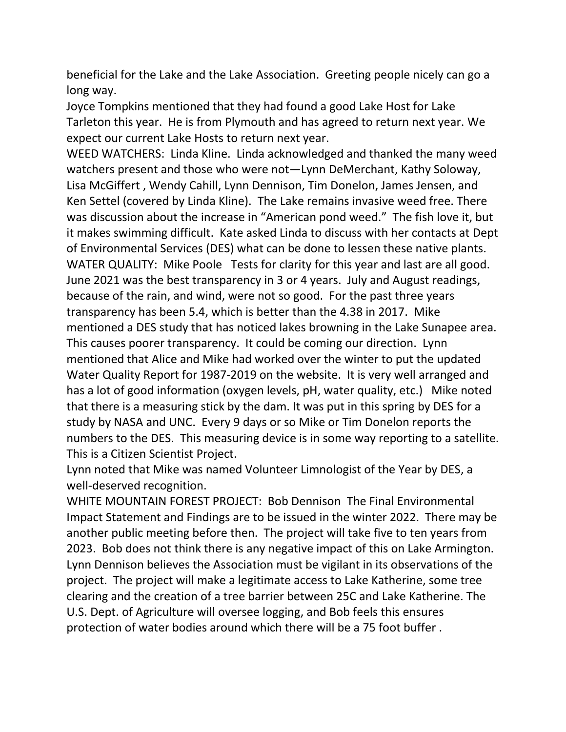beneficial for the Lake and the Lake Association. Greeting people nicely can go a long way.

Joyce Tompkins mentioned that they had found a good Lake Host for Lake Tarleton this year. He is from Plymouth and has agreed to return next year. We expect our current Lake Hosts to return next year.

WEED WATCHERS: Linda Kline. Linda acknowledged and thanked the many weed watchers present and those who were not—Lynn DeMerchant, Kathy Soloway, Lisa McGiffert , Wendy Cahill, Lynn Dennison, Tim Donelon, James Jensen, and Ken Settel (covered by Linda Kline). The Lake remains invasive weed free. There was discussion about the increase in "American pond weed." The fish love it, but it makes swimming difficult. Kate asked Linda to discuss with her contacts at Dept of Environmental Services (DES) what can be done to lessen these native plants. WATER QUALITY: Mike Poole Tests for clarity for this year and last are all good. June 2021 was the best transparency in 3 or 4 years. July and August readings, because of the rain, and wind, were not so good. For the past three years transparency has been 5.4, which is better than the 4.38 in 2017. Mike mentioned a DES study that has noticed lakes browning in the Lake Sunapee area. This causes poorer transparency. It could be coming our direction. Lynn mentioned that Alice and Mike had worked over the winter to put the updated Water Quality Report for 1987-2019 on the website. It is very well arranged and has a lot of good information (oxygen levels, pH, water quality, etc.) Mike noted that there is a measuring stick by the dam. It was put in this spring by DES for a study by NASA and UNC. Every 9 days or so Mike or Tim Donelon reports the numbers to the DES. This measuring device is in some way reporting to a satellite. This is a Citizen Scientist Project.

Lynn noted that Mike was named Volunteer Limnologist of the Year by DES, a well-deserved recognition.

WHITE MOUNTAIN FOREST PROJECT: Bob Dennison The Final Environmental Impact Statement and Findings are to be issued in the winter 2022. There may be another public meeting before then. The project will take five to ten years from 2023. Bob does not think there is any negative impact of this on Lake Armington. Lynn Dennison believes the Association must be vigilant in its observations of the project. The project will make a legitimate access to Lake Katherine, some tree clearing and the creation of a tree barrier between 25C and Lake Katherine. The U.S. Dept. of Agriculture will oversee logging, and Bob feels this ensures protection of water bodies around which there will be a 75 foot buffer .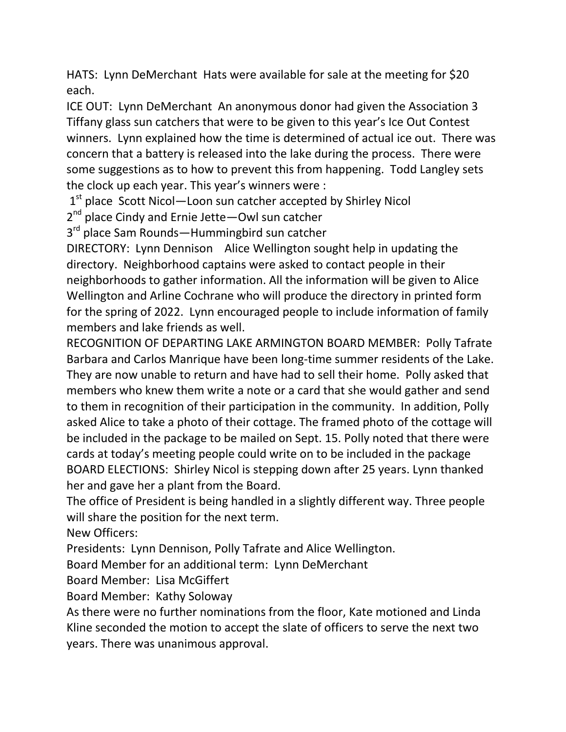HATS: Lynn DeMerchant Hats were available for sale at the meeting for \$20 each.

ICE OUT: Lynn DeMerchant An anonymous donor had given the Association 3 Tiffany glass sun catchers that were to be given to this year's Ice Out Contest winners. Lynn explained how the time is determined of actual ice out. There was concern that a battery is released into the lake during the process. There were some suggestions as to how to prevent this from happening. Todd Langley sets the clock up each year. This year's winners were :

1<sup>st</sup> place Scott Nicol-Loon sun catcher accepted by Shirley Nicol

2<sup>nd</sup> place Cindy and Ernie Jette—Owl sun catcher

3<sup>rd</sup> place Sam Rounds—Hummingbird sun catcher

DIRECTORY: Lynn Dennison Alice Wellington sought help in updating the directory. Neighborhood captains were asked to contact people in their neighborhoods to gather information. All the information will be given to Alice Wellington and Arline Cochrane who will produce the directory in printed form for the spring of 2022. Lynn encouraged people to include information of family members and lake friends as well.

RECOGNITION OF DEPARTING LAKE ARMINGTON BOARD MEMBER: Polly Tafrate Barbara and Carlos Manrique have been long-time summer residents of the Lake. They are now unable to return and have had to sell their home. Polly asked that members who knew them write a note or a card that she would gather and send to them in recognition of their participation in the community. In addition, Polly asked Alice to take a photo of their cottage. The framed photo of the cottage will be included in the package to be mailed on Sept. 15. Polly noted that there were cards at today's meeting people could write on to be included in the package BOARD ELECTIONS: Shirley Nicol is stepping down after 25 years. Lynn thanked her and gave her a plant from the Board.

The office of President is being handled in a slightly different way. Three people will share the position for the next term.

New Officers:

Presidents: Lynn Dennison, Polly Tafrate and Alice Wellington.

Board Member for an additional term: Lynn DeMerchant

Board Member: Lisa McGiffert

Board Member: Kathy Soloway

As there were no further nominations from the floor, Kate motioned and Linda Kline seconded the motion to accept the slate of officers to serve the next two years. There was unanimous approval.